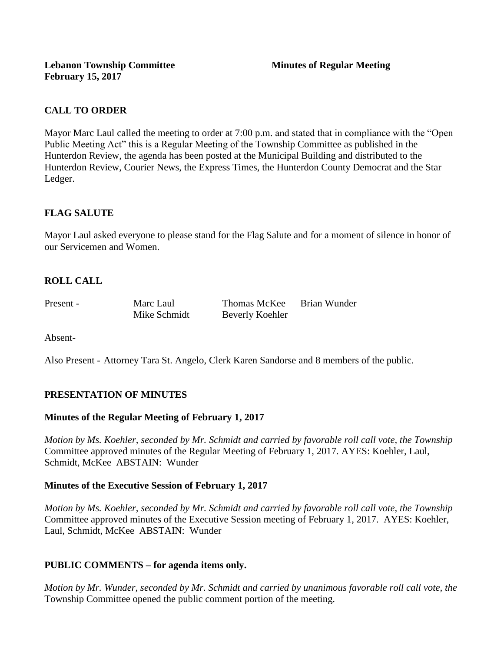# **CALL TO ORDER**

Mayor Marc Laul called the meeting to order at 7:00 p.m. and stated that in compliance with the "Open Public Meeting Act" this is a Regular Meeting of the Township Committee as published in the Hunterdon Review, the agenda has been posted at the Municipal Building and distributed to the Hunterdon Review, Courier News, the Express Times, the Hunterdon County Democrat and the Star Ledger.

# **FLAG SALUTE**

Mayor Laul asked everyone to please stand for the Flag Salute and for a moment of silence in honor of our Servicemen and Women.

# **ROLL CALL**

Present - Marc Laul Thomas McKee Brian Wunder Mike Schmidt Beverly Koehler

Absent-

Also Present - Attorney Tara St. Angelo, Clerk Karen Sandorse and 8 members of the public.

## **PRESENTATION OF MINUTES**

## **Minutes of the Regular Meeting of February 1, 2017**

*Motion by Ms. Koehler, seconded by Mr. Schmidt and carried by favorable roll call vote, the Township* Committee approved minutes of the Regular Meeting of February 1, 2017. AYES: Koehler, Laul, Schmidt, McKee ABSTAIN: Wunder

#### **Minutes of the Executive Session of February 1, 2017**

*Motion by Ms. Koehler, seconded by Mr. Schmidt and carried by favorable roll call vote, the Township*  Committee approved minutes of the Executive Session meeting of February 1, 2017. AYES: Koehler, Laul, Schmidt, McKee ABSTAIN: Wunder

## **PUBLIC COMMENTS – for agenda items only.**

*Motion by Mr. Wunder, seconded by Mr. Schmidt and carried by unanimous favorable roll call vote, the* Township Committee opened the public comment portion of the meeting.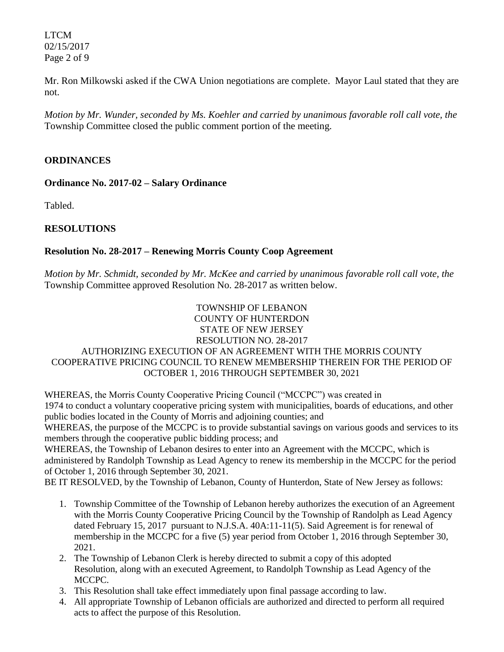LTCM 02/15/2017 Page 2 of 9

Mr. Ron Milkowski asked if the CWA Union negotiations are complete. Mayor Laul stated that they are not.

*Motion by Mr. Wunder, seconded by Ms. Koehler and carried by unanimous favorable roll call vote, the* Township Committee closed the public comment portion of the meeting.

## **ORDINANCES**

**Ordinance No. 2017-02 – Salary Ordinance**

Tabled.

# **RESOLUTIONS**

## **Resolution No. 28-2017 – Renewing Morris County Coop Agreement**

*Motion by Mr. Schmidt, seconded by Mr. McKee and carried by unanimous favorable roll call vote, the* Township Committee approved Resolution No. 28-2017 as written below.

#### TOWNSHIP OF LEBANON COUNTY OF HUNTERDON STATE OF NEW JERSEY RESOLUTION NO. 28-2017 AUTHORIZING EXECUTION OF AN AGREEMENT WITH THE MORRIS COUNTY COOPERATIVE PRICING COUNCIL TO RENEW MEMBERSHIP THEREIN FOR THE PERIOD OF OCTOBER 1, 2016 THROUGH SEPTEMBER 30, 2021

WHEREAS, the Morris County Cooperative Pricing Council ("MCCPC") was created in 1974 to conduct a voluntary cooperative pricing system with municipalities, boards of educations, and other public bodies located in the County of Morris and adjoining counties; and

WHEREAS, the purpose of the MCCPC is to provide substantial savings on various goods and services to its members through the cooperative public bidding process; and

WHEREAS, the Township of Lebanon desires to enter into an Agreement with the MCCPC, which is administered by Randolph Township as Lead Agency to renew its membership in the MCCPC for the period of October 1, 2016 through September 30, 2021.

BE IT RESOLVED, by the Township of Lebanon, County of Hunterdon, State of New Jersey as follows:

- 1. Township Committee of the Township of Lebanon hereby authorizes the execution of an Agreement with the Morris County Cooperative Pricing Council by the Township of Randolph as Lead Agency dated February 15, 2017 pursuant to N.J.S.A. 40A:11-11(5). Said Agreement is for renewal of membership in the MCCPC for a five (5) year period from October 1, 2016 through September 30, 2021.
- 2. The Township of Lebanon Clerk is hereby directed to submit a copy of this adopted Resolution, along with an executed Agreement, to Randolph Township as Lead Agency of the MCCPC.
- 3. This Resolution shall take effect immediately upon final passage according to law.
- 4. All appropriate Township of Lebanon officials are authorized and directed to perform all required acts to affect the purpose of this Resolution.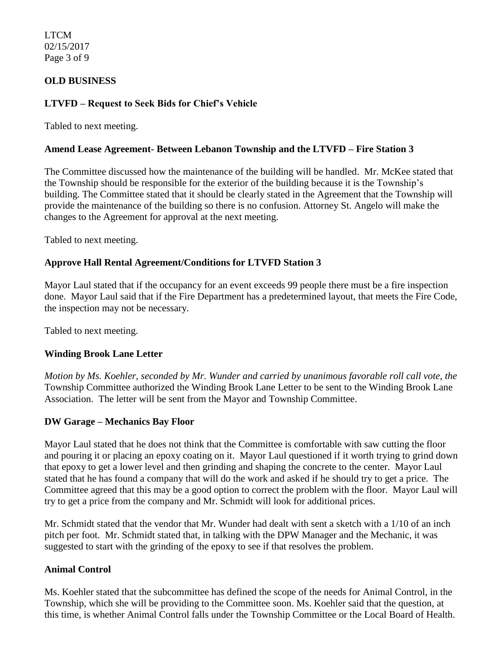LTCM 02/15/2017 Page 3 of 9

## **OLD BUSINESS**

## **LTVFD – Request to Seek Bids for Chief's Vehicle**

Tabled to next meeting.

### **Amend Lease Agreement- Between Lebanon Township and the LTVFD – Fire Station 3**

The Committee discussed how the maintenance of the building will be handled. Mr. McKee stated that the Township should be responsible for the exterior of the building because it is the Township's building. The Committee stated that it should be clearly stated in the Agreement that the Township will provide the maintenance of the building so there is no confusion. Attorney St. Angelo will make the changes to the Agreement for approval at the next meeting.

Tabled to next meeting.

## **Approve Hall Rental Agreement/Conditions for LTVFD Station 3**

Mayor Laul stated that if the occupancy for an event exceeds 99 people there must be a fire inspection done. Mayor Laul said that if the Fire Department has a predetermined layout, that meets the Fire Code, the inspection may not be necessary.

Tabled to next meeting.

#### **Winding Brook Lane Letter**

*Motion by Ms. Koehler, seconded by Mr. Wunder and carried by unanimous favorable roll call vote, the* Township Committee authorized the Winding Brook Lane Letter to be sent to the Winding Brook Lane Association. The letter will be sent from the Mayor and Township Committee.

#### **DW Garage – Mechanics Bay Floor**

Mayor Laul stated that he does not think that the Committee is comfortable with saw cutting the floor and pouring it or placing an epoxy coating on it. Mayor Laul questioned if it worth trying to grind down that epoxy to get a lower level and then grinding and shaping the concrete to the center. Mayor Laul stated that he has found a company that will do the work and asked if he should try to get a price. The Committee agreed that this may be a good option to correct the problem with the floor. Mayor Laul will try to get a price from the company and Mr. Schmidt will look for additional prices.

Mr. Schmidt stated that the vendor that Mr. Wunder had dealt with sent a sketch with a 1/10 of an inch pitch per foot. Mr. Schmidt stated that, in talking with the DPW Manager and the Mechanic, it was suggested to start with the grinding of the epoxy to see if that resolves the problem.

#### **Animal Control**

Ms. Koehler stated that the subcommittee has defined the scope of the needs for Animal Control, in the Township, which she will be providing to the Committee soon. Ms. Koehler said that the question, at this time, is whether Animal Control falls under the Township Committee or the Local Board of Health.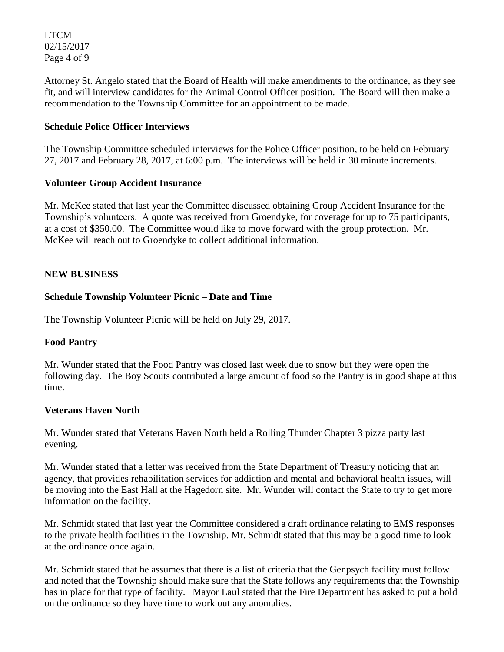LTCM 02/15/2017 Page 4 of 9

Attorney St. Angelo stated that the Board of Health will make amendments to the ordinance, as they see fit, and will interview candidates for the Animal Control Officer position. The Board will then make a recommendation to the Township Committee for an appointment to be made.

## **Schedule Police Officer Interviews**

The Township Committee scheduled interviews for the Police Officer position, to be held on February 27, 2017 and February 28, 2017, at 6:00 p.m. The interviews will be held in 30 minute increments.

#### **Volunteer Group Accident Insurance**

Mr. McKee stated that last year the Committee discussed obtaining Group Accident Insurance for the Township's volunteers. A quote was received from Groendyke, for coverage for up to 75 participants, at a cost of \$350.00. The Committee would like to move forward with the group protection. Mr. McKee will reach out to Groendyke to collect additional information.

## **NEW BUSINESS**

### **Schedule Township Volunteer Picnic – Date and Time**

The Township Volunteer Picnic will be held on July 29, 2017.

## **Food Pantry**

Mr. Wunder stated that the Food Pantry was closed last week due to snow but they were open the following day. The Boy Scouts contributed a large amount of food so the Pantry is in good shape at this time.

#### **Veterans Haven North**

Mr. Wunder stated that Veterans Haven North held a Rolling Thunder Chapter 3 pizza party last evening.

Mr. Wunder stated that a letter was received from the State Department of Treasury noticing that an agency, that provides rehabilitation services for addiction and mental and behavioral health issues, will be moving into the East Hall at the Hagedorn site. Mr. Wunder will contact the State to try to get more information on the facility.

Mr. Schmidt stated that last year the Committee considered a draft ordinance relating to EMS responses to the private health facilities in the Township. Mr. Schmidt stated that this may be a good time to look at the ordinance once again.

Mr. Schmidt stated that he assumes that there is a list of criteria that the Genpsych facility must follow and noted that the Township should make sure that the State follows any requirements that the Township has in place for that type of facility. Mayor Laul stated that the Fire Department has asked to put a hold on the ordinance so they have time to work out any anomalies.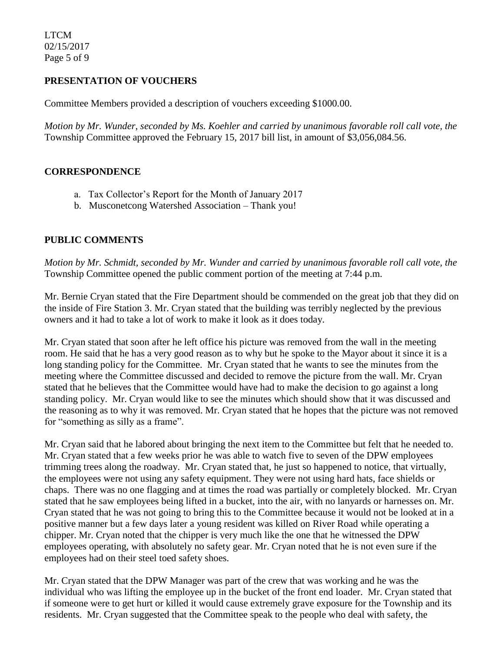LTCM 02/15/2017 Page 5 of 9

## **PRESENTATION OF VOUCHERS**

Committee Members provided a description of vouchers exceeding \$1000.00.

*Motion by Mr. Wunder, seconded by Ms. Koehler and carried by unanimous favorable roll call vote, the* Township Committee approved the February 15, 2017 bill list, in amount of \$3,056,084.56.

#### **CORRESPONDENCE**

- a. Tax Collector's Report for the Month of January 2017
- b. Musconetcong Watershed Association Thank you!

### **PUBLIC COMMENTS**

*Motion by Mr. Schmidt, seconded by Mr. Wunder and carried by unanimous favorable roll call vote, the* Township Committee opened the public comment portion of the meeting at 7:44 p.m.

Mr. Bernie Cryan stated that the Fire Department should be commended on the great job that they did on the inside of Fire Station 3. Mr. Cryan stated that the building was terribly neglected by the previous owners and it had to take a lot of work to make it look as it does today.

Mr. Cryan stated that soon after he left office his picture was removed from the wall in the meeting room. He said that he has a very good reason as to why but he spoke to the Mayor about it since it is a long standing policy for the Committee. Mr. Cryan stated that he wants to see the minutes from the meeting where the Committee discussed and decided to remove the picture from the wall. Mr. Cryan stated that he believes that the Committee would have had to make the decision to go against a long standing policy. Mr. Cryan would like to see the minutes which should show that it was discussed and the reasoning as to why it was removed. Mr. Cryan stated that he hopes that the picture was not removed for "something as silly as a frame".

Mr. Cryan said that he labored about bringing the next item to the Committee but felt that he needed to. Mr. Cryan stated that a few weeks prior he was able to watch five to seven of the DPW employees trimming trees along the roadway. Mr. Cryan stated that, he just so happened to notice, that virtually, the employees were not using any safety equipment. They were not using hard hats, face shields or chaps. There was no one flagging and at times the road was partially or completely blocked. Mr. Cryan stated that he saw employees being lifted in a bucket, into the air, with no lanyards or harnesses on. Mr. Cryan stated that he was not going to bring this to the Committee because it would not be looked at in a positive manner but a few days later a young resident was killed on River Road while operating a chipper. Mr. Cryan noted that the chipper is very much like the one that he witnessed the DPW employees operating, with absolutely no safety gear. Mr. Cryan noted that he is not even sure if the employees had on their steel toed safety shoes.

Mr. Cryan stated that the DPW Manager was part of the crew that was working and he was the individual who was lifting the employee up in the bucket of the front end loader. Mr. Cryan stated that if someone were to get hurt or killed it would cause extremely grave exposure for the Township and its residents. Mr. Cryan suggested that the Committee speak to the people who deal with safety, the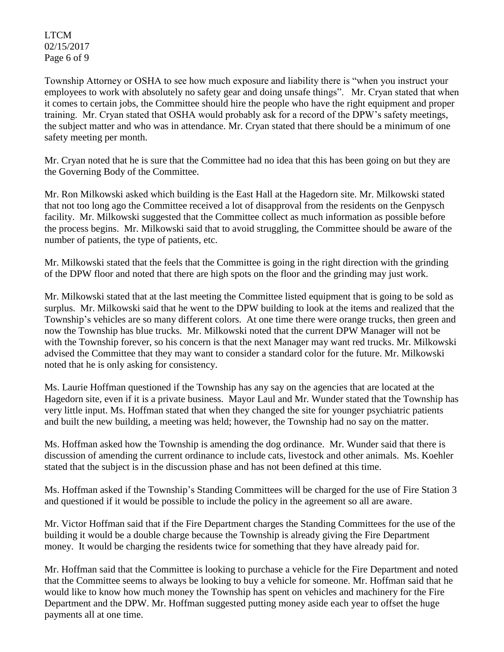LTCM 02/15/2017 Page 6 of 9

Township Attorney or OSHA to see how much exposure and liability there is "when you instruct your employees to work with absolutely no safety gear and doing unsafe things". Mr. Cryan stated that when it comes to certain jobs, the Committee should hire the people who have the right equipment and proper training. Mr. Cryan stated that OSHA would probably ask for a record of the DPW's safety meetings, the subject matter and who was in attendance. Mr. Cryan stated that there should be a minimum of one safety meeting per month.

Mr. Cryan noted that he is sure that the Committee had no idea that this has been going on but they are the Governing Body of the Committee.

Mr. Ron Milkowski asked which building is the East Hall at the Hagedorn site. Mr. Milkowski stated that not too long ago the Committee received a lot of disapproval from the residents on the Genpysch facility. Mr. Milkowski suggested that the Committee collect as much information as possible before the process begins. Mr. Milkowski said that to avoid struggling, the Committee should be aware of the number of patients, the type of patients, etc.

Mr. Milkowski stated that the feels that the Committee is going in the right direction with the grinding of the DPW floor and noted that there are high spots on the floor and the grinding may just work.

Mr. Milkowski stated that at the last meeting the Committee listed equipment that is going to be sold as surplus. Mr. Milkowski said that he went to the DPW building to look at the items and realized that the Township's vehicles are so many different colors. At one time there were orange trucks, then green and now the Township has blue trucks. Mr. Milkowski noted that the current DPW Manager will not be with the Township forever, so his concern is that the next Manager may want red trucks. Mr. Milkowski advised the Committee that they may want to consider a standard color for the future. Mr. Milkowski noted that he is only asking for consistency.

Ms. Laurie Hoffman questioned if the Township has any say on the agencies that are located at the Hagedorn site, even if it is a private business. Mayor Laul and Mr. Wunder stated that the Township has very little input. Ms. Hoffman stated that when they changed the site for younger psychiatric patients and built the new building, a meeting was held; however, the Township had no say on the matter.

Ms. Hoffman asked how the Township is amending the dog ordinance. Mr. Wunder said that there is discussion of amending the current ordinance to include cats, livestock and other animals. Ms. Koehler stated that the subject is in the discussion phase and has not been defined at this time.

Ms. Hoffman asked if the Township's Standing Committees will be charged for the use of Fire Station 3 and questioned if it would be possible to include the policy in the agreement so all are aware.

Mr. Victor Hoffman said that if the Fire Department charges the Standing Committees for the use of the building it would be a double charge because the Township is already giving the Fire Department money. It would be charging the residents twice for something that they have already paid for.

Mr. Hoffman said that the Committee is looking to purchase a vehicle for the Fire Department and noted that the Committee seems to always be looking to buy a vehicle for someone. Mr. Hoffman said that he would like to know how much money the Township has spent on vehicles and machinery for the Fire Department and the DPW. Mr. Hoffman suggested putting money aside each year to offset the huge payments all at one time.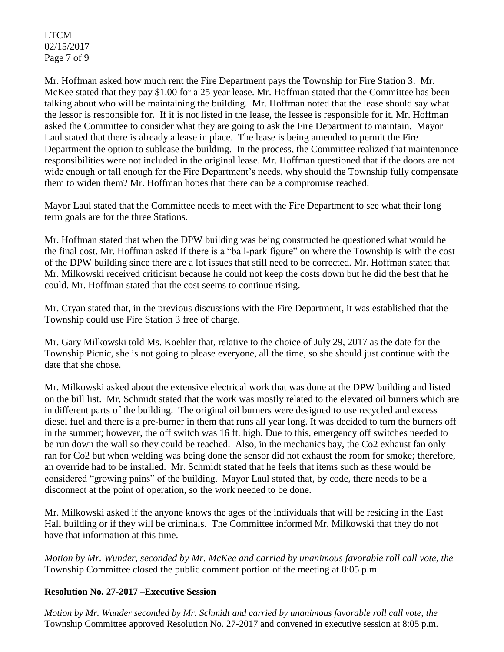LTCM 02/15/2017 Page 7 of 9

Mr. Hoffman asked how much rent the Fire Department pays the Township for Fire Station 3. Mr. McKee stated that they pay \$1.00 for a 25 year lease. Mr. Hoffman stated that the Committee has been talking about who will be maintaining the building. Mr. Hoffman noted that the lease should say what the lessor is responsible for. If it is not listed in the lease, the lessee is responsible for it. Mr. Hoffman asked the Committee to consider what they are going to ask the Fire Department to maintain. Mayor Laul stated that there is already a lease in place. The lease is being amended to permit the Fire Department the option to sublease the building. In the process, the Committee realized that maintenance responsibilities were not included in the original lease. Mr. Hoffman questioned that if the doors are not wide enough or tall enough for the Fire Department's needs, why should the Township fully compensate them to widen them? Mr. Hoffman hopes that there can be a compromise reached.

Mayor Laul stated that the Committee needs to meet with the Fire Department to see what their long term goals are for the three Stations.

Mr. Hoffman stated that when the DPW building was being constructed he questioned what would be the final cost. Mr. Hoffman asked if there is a "ball-park figure" on where the Township is with the cost of the DPW building since there are a lot issues that still need to be corrected. Mr. Hoffman stated that Mr. Milkowski received criticism because he could not keep the costs down but he did the best that he could. Mr. Hoffman stated that the cost seems to continue rising.

Mr. Cryan stated that, in the previous discussions with the Fire Department, it was established that the Township could use Fire Station 3 free of charge.

Mr. Gary Milkowski told Ms. Koehler that, relative to the choice of July 29, 2017 as the date for the Township Picnic, she is not going to please everyone, all the time, so she should just continue with the date that she chose.

Mr. Milkowski asked about the extensive electrical work that was done at the DPW building and listed on the bill list. Mr. Schmidt stated that the work was mostly related to the elevated oil burners which are in different parts of the building. The original oil burners were designed to use recycled and excess diesel fuel and there is a pre-burner in them that runs all year long. It was decided to turn the burners off in the summer; however, the off switch was 16 ft. high. Due to this, emergency off switches needed to be run down the wall so they could be reached. Also, in the mechanics bay, the Co2 exhaust fan only ran for Co2 but when welding was being done the sensor did not exhaust the room for smoke; therefore, an override had to be installed. Mr. Schmidt stated that he feels that items such as these would be considered "growing pains" of the building. Mayor Laul stated that, by code, there needs to be a disconnect at the point of operation, so the work needed to be done.

Mr. Milkowski asked if the anyone knows the ages of the individuals that will be residing in the East Hall building or if they will be criminals. The Committee informed Mr. Milkowski that they do not have that information at this time.

*Motion by Mr. Wunder, seconded by Mr. McKee and carried by unanimous favorable roll call vote, the* Township Committee closed the public comment portion of the meeting at 8:05 p.m.

## **Resolution No. 27-2017 –Executive Session**

*Motion by Mr. Wunder seconded by Mr. Schmidt and carried by unanimous favorable roll call vote, the* Township Committee approved Resolution No. 27-2017 and convened in executive session at 8:05 p.m.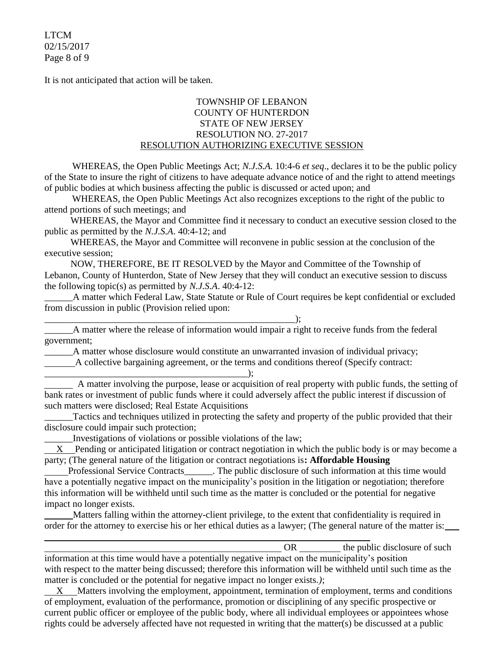LTCM 02/15/2017 Page 8 of 9

It is not anticipated that action will be taken.

#### TOWNSHIP OF LEBANON COUNTY OF HUNTERDON STATE OF NEW JERSEY RESOLUTION NO. 27-2017 RESOLUTION AUTHORIZING EXECUTIVE SESSION

WHEREAS, the Open Public Meetings Act; *N.J.S.A.* 10:4-6 *et seq*., declares it to be the public policy of the State to insure the right of citizens to have adequate advance notice of and the right to attend meetings of public bodies at which business affecting the public is discussed or acted upon; and

WHEREAS, the Open Public Meetings Act also recognizes exceptions to the right of the public to attend portions of such meetings; and

 WHEREAS, the Mayor and Committee find it necessary to conduct an executive session closed to the public as permitted by the *N.J.S.A*. 40:4-12; and

 WHEREAS, the Mayor and Committee will reconvene in public session at the conclusion of the executive session;

 NOW, THEREFORE, BE IT RESOLVED by the Mayor and Committee of the Township of Lebanon, County of Hunterdon, State of New Jersey that they will conduct an executive session to discuss the following topic(s) as permitted by *N.J.S.A*. 40:4-12:

\_\_\_\_\_\_A matter which Federal Law, State Statute or Rule of Court requires be kept confidential or excluded from discussion in public (Provision relied upon:

\_\_\_\_\_\_A matter where the release of information would impair a right to receive funds from the federal government;

\_\_\_\_\_\_A matter whose disclosure would constitute an unwarranted invasion of individual privacy; A collective bargaining agreement, or the terms and conditions thereof (Specify contract:

\_\_\_\_\_\_\_\_\_\_\_\_\_\_\_\_\_\_\_\_\_\_\_\_\_\_\_\_\_\_\_\_\_\_\_\_\_\_\_\_\_\_\_); A matter involving the purpose, lease or acquisition of real property with public funds, the setting of bank rates or investment of public funds where it could adversely affect the public interest if discussion of such matters were disclosed; Real Estate Acquisitions

\_\_\_\_\_\_Tactics and techniques utilized in protecting the safety and property of the public provided that their disclosure could impair such protection;

\_\_\_\_\_\_Investigations of violations or possible violations of the law;

\_\_\_\_\_\_\_\_\_\_\_\_\_\_\_\_\_\_\_\_\_\_\_\_\_\_\_\_\_\_\_\_\_\_\_\_\_\_\_\_\_\_\_\_\_\_\_\_\_\_\_\_\_);

 X Pending or anticipated litigation or contract negotiation in which the public body is or may become a party; (The general nature of the litigation or contract negotiations is**: Affordable Housing**

 Professional Service Contracts\_\_\_\_\_\_. The public disclosure of such information at this time would have a potentially negative impact on the municipality's position in the litigation or negotiation; therefore this information will be withheld until such time as the matter is concluded or the potential for negative impact no longer exists.

 Matters falling within the attorney-client privilege, to the extent that confidentiality is required in order for the attorney to exercise his or her ethical duties as a lawyer; (The general nature of the matter is:

OR the public disclosure of such  $\theta$ information at this time would have a potentially negative impact on the municipality's position with respect to the matter being discussed; therefore this information will be withheld until such time as the matter is concluded or the potential for negative impact no longer exists.*)*;

 X Matters involving the employment, appointment, termination of employment, terms and conditions of employment, evaluation of the performance, promotion or disciplining of any specific prospective or current public officer or employee of the public body, where all individual employees or appointees whose rights could be adversely affected have not requested in writing that the matter(s) be discussed at a public